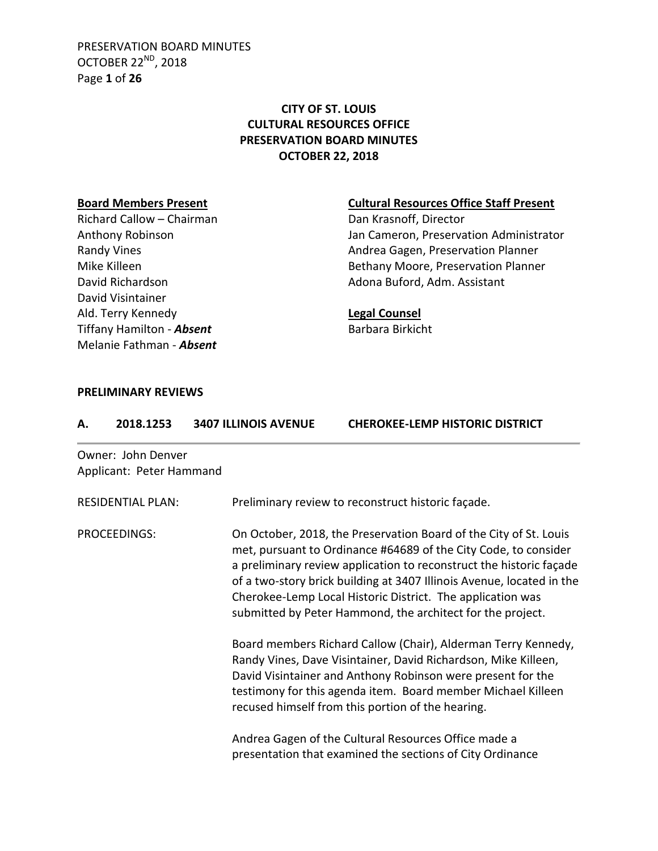PRESERVATION BOARD MINUTES OCTOBER 22<sup>ND</sup>, 2018 Page **1** of **26**

# **CITY OF ST. LOUIS CULTURAL RESOURCES OFFICE PRESERVATION BOARD MINUTES OCTOBER 22, 2018**

Richard Callow – Chairman Dan Krasnoff, Director David Visintainer Ald. Terry Kennedy **Legal Counsel** Tiffany Hamilton - **Absent** Barbara Birkicht Melanie Fathman - *Absent*

## **Board Members Present Cultural Resources Office Staff Present**

Anthony Robinson **Anthony Robinson** Jan Cameron, Preservation Administrator Randy Vines **Andrea Gagen, Preservation Planner** Andrea Gagen, Preservation Planner Mike Killeen **Bethany Moore, Preservation Planner** Bethany Moore, Preservation Planner David Richardson **Adona Buford, Adm. Assistant** 

### **PRELIMINARY REVIEWS**

| А. | 2018.1253                                      | <b>3407 ILLINOIS AVENUE</b> | <b>CHEROKEE-LEMP HISTORIC DISTRICT</b>                                                                                                                                                                                                                                                                                                                                                                           |  |
|----|------------------------------------------------|-----------------------------|------------------------------------------------------------------------------------------------------------------------------------------------------------------------------------------------------------------------------------------------------------------------------------------------------------------------------------------------------------------------------------------------------------------|--|
|    | Owner: John Denver<br>Applicant: Peter Hammand |                             |                                                                                                                                                                                                                                                                                                                                                                                                                  |  |
|    | <b>RESIDENTIAL PLAN:</b>                       |                             | Preliminary review to reconstruct historic façade.                                                                                                                                                                                                                                                                                                                                                               |  |
|    | <b>PROCEEDINGS:</b>                            |                             | On October, 2018, the Preservation Board of the City of St. Louis<br>met, pursuant to Ordinance #64689 of the City Code, to consider<br>a preliminary review application to reconstruct the historic façade<br>of a two-story brick building at 3407 Illinois Avenue, located in the<br>Cherokee-Lemp Local Historic District. The application was<br>submitted by Peter Hammond, the architect for the project. |  |
|    |                                                |                             | Board members Richard Callow (Chair), Alderman Terry Kennedy,<br>Randy Vines, Dave Visintainer, David Richardson, Mike Killeen,<br>David Visintainer and Anthony Robinson were present for the<br>testimony for this agenda item. Board member Michael Killeen<br>recused himself from this portion of the hearing.                                                                                              |  |
|    |                                                |                             | Andrea Gagen of the Cultural Resources Office made a<br>presentation that examined the sections of City Ordinance                                                                                                                                                                                                                                                                                                |  |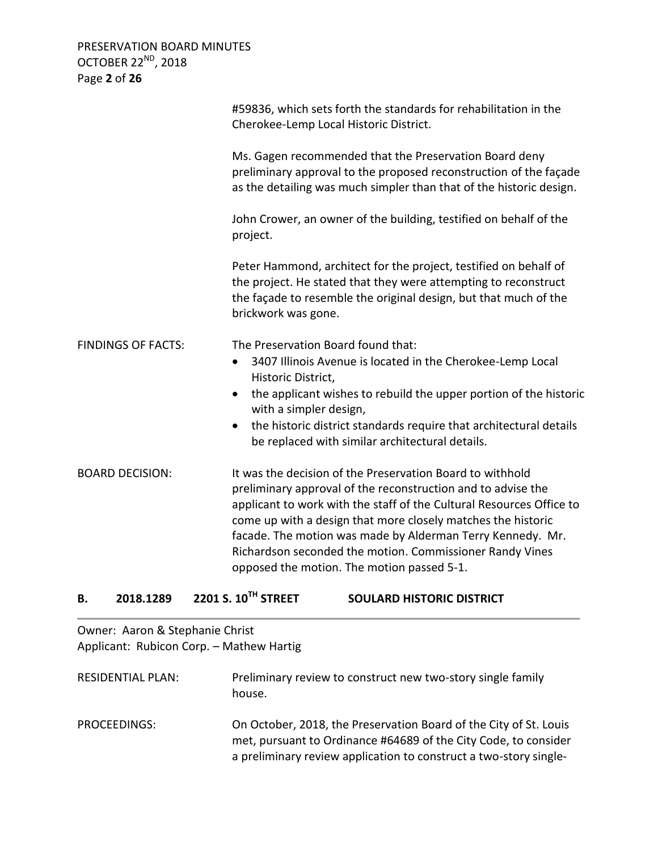PRESERVATION BOARD MINUTES OCTOBER 22<sup>ND</sup>, 2018 Page **2** of **26**

|                           | #59836, which sets forth the standards for rehabilitation in the<br>Cherokee-Lemp Local Historic District.                                                                                                                                                                                                                                                                                                                                |
|---------------------------|-------------------------------------------------------------------------------------------------------------------------------------------------------------------------------------------------------------------------------------------------------------------------------------------------------------------------------------------------------------------------------------------------------------------------------------------|
|                           | Ms. Gagen recommended that the Preservation Board deny<br>preliminary approval to the proposed reconstruction of the façade<br>as the detailing was much simpler than that of the historic design.                                                                                                                                                                                                                                        |
|                           | John Crower, an owner of the building, testified on behalf of the<br>project.                                                                                                                                                                                                                                                                                                                                                             |
|                           | Peter Hammond, architect for the project, testified on behalf of<br>the project. He stated that they were attempting to reconstruct<br>the façade to resemble the original design, but that much of the<br>brickwork was gone.                                                                                                                                                                                                            |
| <b>FINDINGS OF FACTS:</b> | The Preservation Board found that:<br>3407 Illinois Avenue is located in the Cherokee-Lemp Local<br>$\bullet$                                                                                                                                                                                                                                                                                                                             |
|                           | Historic District,                                                                                                                                                                                                                                                                                                                                                                                                                        |
|                           | the applicant wishes to rebuild the upper portion of the historic<br>$\bullet$<br>with a simpler design,                                                                                                                                                                                                                                                                                                                                  |
|                           | the historic district standards require that architectural details<br>$\bullet$<br>be replaced with similar architectural details.                                                                                                                                                                                                                                                                                                        |
| <b>BOARD DECISION:</b>    | It was the decision of the Preservation Board to withhold<br>preliminary approval of the reconstruction and to advise the<br>applicant to work with the staff of the Cultural Resources Office to<br>come up with a design that more closely matches the historic<br>facade. The motion was made by Alderman Terry Kennedy. Mr.<br>Richardson seconded the motion. Commissioner Randy Vines<br>opposed the motion. The motion passed 5-1. |

# **B. 2018.1289 2201 S. 10TH STREET SOULARD HISTORIC DISTRICT**

| Owner: Aaron & Stephanie Christ          |  |
|------------------------------------------|--|
| Applicant: Rubicon Corp. - Mathew Hartig |  |

| <b>RESIDENTIAL PLAN:</b> | Preliminary review to construct new two-story single family<br>house.                                                                                                                                     |
|--------------------------|-----------------------------------------------------------------------------------------------------------------------------------------------------------------------------------------------------------|
| PROCEEDINGS:             | On October, 2018, the Preservation Board of the City of St. Louis<br>met, pursuant to Ordinance #64689 of the City Code, to consider<br>a preliminary review application to construct a two-story single- |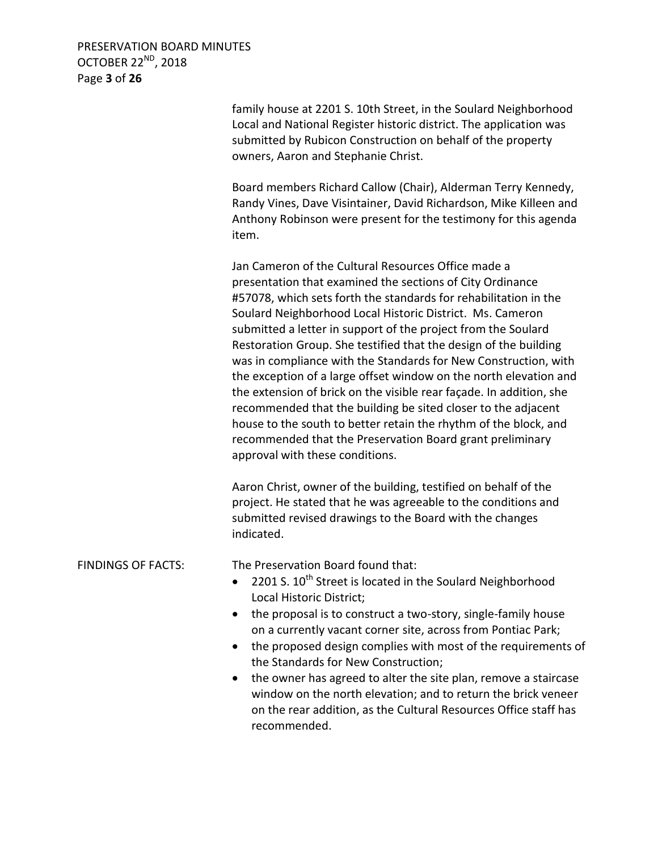PRESERVATION BOARD MINUTES OCTOBER 22<sup>ND</sup>, 2018 Page **3** of **26**

> family house at 2201 S. 10th Street, in the Soulard Neighborhood Local and National Register historic district. The application was submitted by Rubicon Construction on behalf of the property owners, Aaron and Stephanie Christ.

Board members Richard Callow (Chair), Alderman Terry Kennedy, Randy Vines, Dave Visintainer, David Richardson, Mike Killeen and Anthony Robinson were present for the testimony for this agenda item.

Jan Cameron of the Cultural Resources Office made a presentation that examined the sections of City Ordinance #57078, which sets forth the standards for rehabilitation in the Soulard Neighborhood Local Historic District. Ms. Cameron submitted a letter in support of the project from the Soulard Restoration Group. She testified that the design of the building was in compliance with the Standards for New Construction, with the exception of a large offset window on the north elevation and the extension of brick on the visible rear façade. In addition, she recommended that the building be sited closer to the adjacent house to the south to better retain the rhythm of the block, and recommended that the Preservation Board grant preliminary approval with these conditions.

Aaron Christ, owner of the building, testified on behalf of the project. He stated that he was agreeable to the conditions and submitted revised drawings to the Board with the changes indicated.

FINDINGS OF FACTS: The Preservation Board found that:

- 2201 S.  $10^{th}$  Street is located in the Soulard Neighborhood Local Historic District;
- the proposal is to construct a two-story, single-family house on a currently vacant corner site, across from Pontiac Park;
- the proposed design complies with most of the requirements of the Standards for New Construction;
- the owner has agreed to alter the site plan, remove a staircase window on the north elevation; and to return the brick veneer on the rear addition, as the Cultural Resources Office staff has recommended.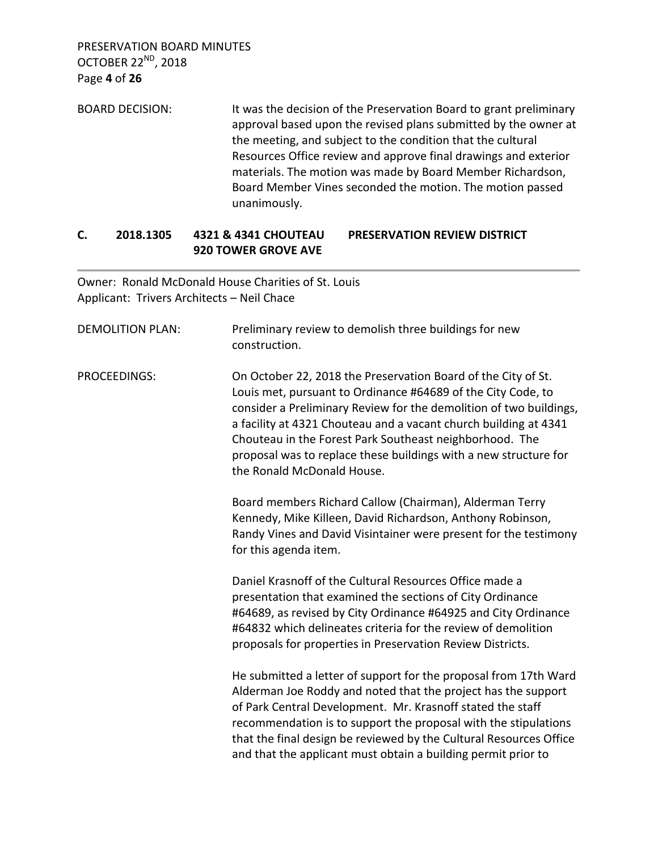PRESERVATION BOARD MINUTES OCTOBER 22ND, 2018 Page **4** of **26**

BOARD DECISION: It was the decision of the Preservation Board to grant preliminary approval based upon the revised plans submitted by the owner at the meeting, and subject to the condition that the cultural Resources Office review and approve final drawings and exterior materials. The motion was made by Board Member Richardson, Board Member Vines seconded the motion. The motion passed unanimously.

# **C. 2018.1305 4321 & 4341 CHOUTEAU PRESERVATION REVIEW DISTRICT 920 TOWER GROVE AVE**

Owner: Ronald McDonald House Charities of St. Louis Applicant: Trivers Architects – Neil Chace

| <b>DEMOLITION PLAN:</b> | Preliminary review to demolish three buildings for new<br>construction.                                                                                                                                                                                                                                                                                                                                                              |
|-------------------------|--------------------------------------------------------------------------------------------------------------------------------------------------------------------------------------------------------------------------------------------------------------------------------------------------------------------------------------------------------------------------------------------------------------------------------------|
| <b>PROCEEDINGS:</b>     | On October 22, 2018 the Preservation Board of the City of St.<br>Louis met, pursuant to Ordinance #64689 of the City Code, to<br>consider a Preliminary Review for the demolition of two buildings,<br>a facility at 4321 Chouteau and a vacant church building at 4341<br>Chouteau in the Forest Park Southeast neighborhood. The<br>proposal was to replace these buildings with a new structure for<br>the Ronald McDonald House. |
|                         | Board members Richard Callow (Chairman), Alderman Terry<br>Kennedy, Mike Killeen, David Richardson, Anthony Robinson,<br>Randy Vines and David Visintainer were present for the testimony<br>for this agenda item.                                                                                                                                                                                                                   |
|                         | Daniel Krasnoff of the Cultural Resources Office made a<br>presentation that examined the sections of City Ordinance<br>#64689, as revised by City Ordinance #64925 and City Ordinance<br>#64832 which delineates criteria for the review of demolition<br>proposals for properties in Preservation Review Districts.                                                                                                                |
|                         | He submitted a letter of support for the proposal from 17th Ward<br>Alderman Joe Roddy and noted that the project has the support<br>of Park Central Development. Mr. Krasnoff stated the staff<br>recommendation is to support the proposal with the stipulations<br>that the final design be reviewed by the Cultural Resources Office<br>and that the applicant must obtain a building permit prior to                            |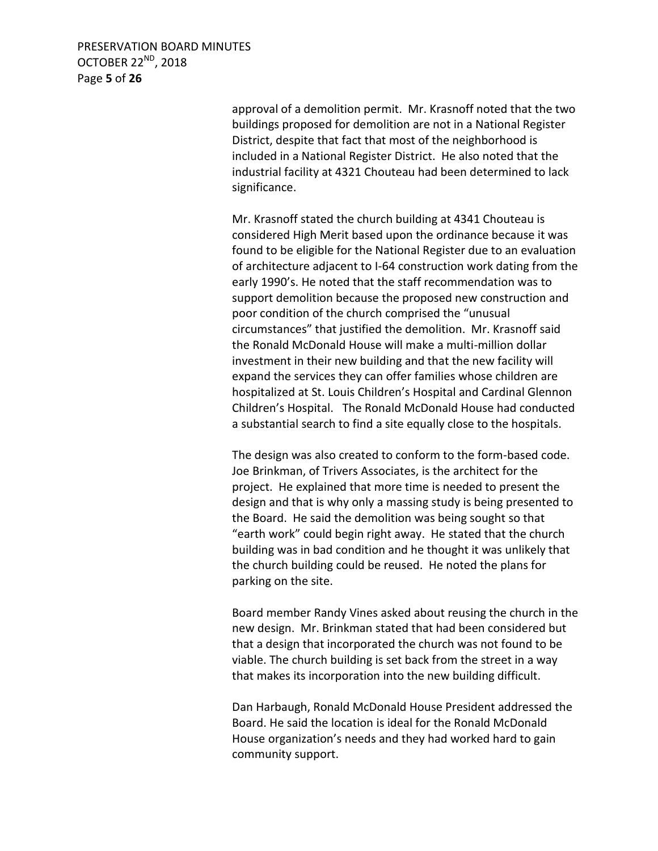PRESERVATION BOARD MINUTES OCTOBER 22<sup>ND</sup>, 2018 Page **5** of **26**

> approval of a demolition permit. Mr. Krasnoff noted that the two buildings proposed for demolition are not in a National Register District, despite that fact that most of the neighborhood is included in a National Register District. He also noted that the industrial facility at 4321 Chouteau had been determined to lack significance.

> Mr. Krasnoff stated the church building at 4341 Chouteau is considered High Merit based upon the ordinance because it was found to be eligible for the National Register due to an evaluation of architecture adjacent to I-64 construction work dating from the early 1990's. He noted that the staff recommendation was to support demolition because the proposed new construction and poor condition of the church comprised the "unusual circumstances" that justified the demolition. Mr. Krasnoff said the Ronald McDonald House will make a multi-million dollar investment in their new building and that the new facility will expand the services they can offer families whose children are hospitalized at St. Louis Children's Hospital and Cardinal Glennon Children's Hospital. The Ronald McDonald House had conducted a substantial search to find a site equally close to the hospitals.

The design was also created to conform to the form-based code. Joe Brinkman, of Trivers Associates, is the architect for the project. He explained that more time is needed to present the design and that is why only a massing study is being presented to the Board. He said the demolition was being sought so that "earth work" could begin right away. He stated that the church building was in bad condition and he thought it was unlikely that the church building could be reused. He noted the plans for parking on the site.

Board member Randy Vines asked about reusing the church in the new design. Mr. Brinkman stated that had been considered but that a design that incorporated the church was not found to be viable. The church building is set back from the street in a way that makes its incorporation into the new building difficult.

Dan Harbaugh, Ronald McDonald House President addressed the Board. He said the location is ideal for the Ronald McDonald House organization's needs and they had worked hard to gain community support.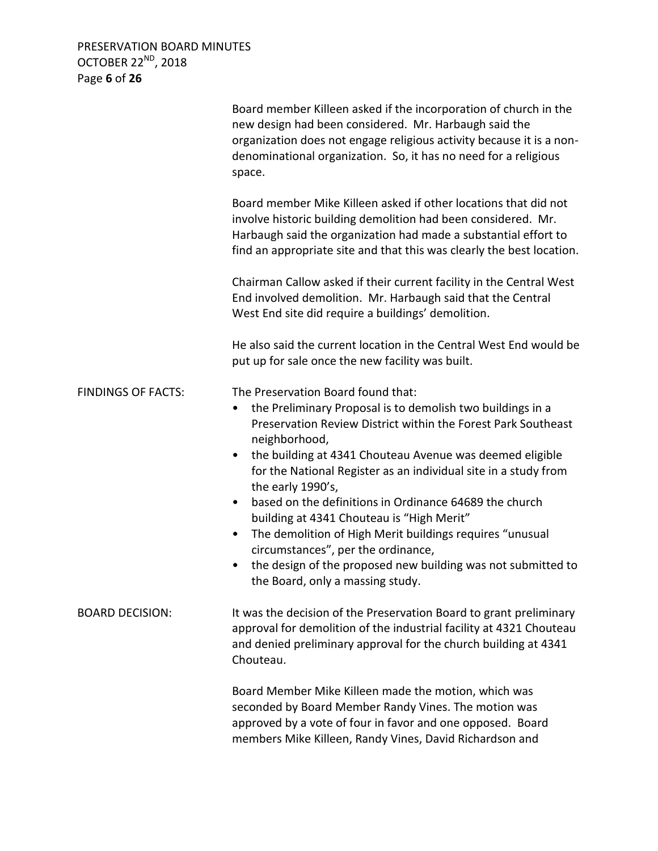PRESERVATION BOARD MINUTES OCTOBER 22<sup>ND</sup>, 2018 Page **6** of **26**

|                           | Board member Killeen asked if the incorporation of church in the<br>new design had been considered. Mr. Harbaugh said the<br>organization does not engage religious activity because it is a non-<br>denominational organization. So, it has no need for a religious<br>space.                                                                                                                                                                                                                                                                                                                                                                                                             |
|---------------------------|--------------------------------------------------------------------------------------------------------------------------------------------------------------------------------------------------------------------------------------------------------------------------------------------------------------------------------------------------------------------------------------------------------------------------------------------------------------------------------------------------------------------------------------------------------------------------------------------------------------------------------------------------------------------------------------------|
|                           | Board member Mike Killeen asked if other locations that did not<br>involve historic building demolition had been considered. Mr.<br>Harbaugh said the organization had made a substantial effort to<br>find an appropriate site and that this was clearly the best location.                                                                                                                                                                                                                                                                                                                                                                                                               |
|                           | Chairman Callow asked if their current facility in the Central West<br>End involved demolition. Mr. Harbaugh said that the Central<br>West End site did require a buildings' demolition.                                                                                                                                                                                                                                                                                                                                                                                                                                                                                                   |
|                           | He also said the current location in the Central West End would be<br>put up for sale once the new facility was built.                                                                                                                                                                                                                                                                                                                                                                                                                                                                                                                                                                     |
| <b>FINDINGS OF FACTS:</b> | The Preservation Board found that:<br>the Preliminary Proposal is to demolish two buildings in a<br>Preservation Review District within the Forest Park Southeast<br>neighborhood,<br>the building at 4341 Chouteau Avenue was deemed eligible<br>$\bullet$<br>for the National Register as an individual site in a study from<br>the early 1990's,<br>based on the definitions in Ordinance 64689 the church<br>$\bullet$<br>building at 4341 Chouteau is "High Merit"<br>The demolition of High Merit buildings requires "unusual<br>$\bullet$<br>circumstances", per the ordinance,<br>the design of the proposed new building was not submitted to<br>the Board, only a massing study. |
| <b>BOARD DECISION:</b>    | It was the decision of the Preservation Board to grant preliminary<br>approval for demolition of the industrial facility at 4321 Chouteau<br>and denied preliminary approval for the church building at 4341<br>Chouteau.                                                                                                                                                                                                                                                                                                                                                                                                                                                                  |
|                           | Board Member Mike Killeen made the motion, which was<br>seconded by Board Member Randy Vines. The motion was<br>approved by a vote of four in favor and one opposed. Board<br>members Mike Killeen, Randy Vines, David Richardson and                                                                                                                                                                                                                                                                                                                                                                                                                                                      |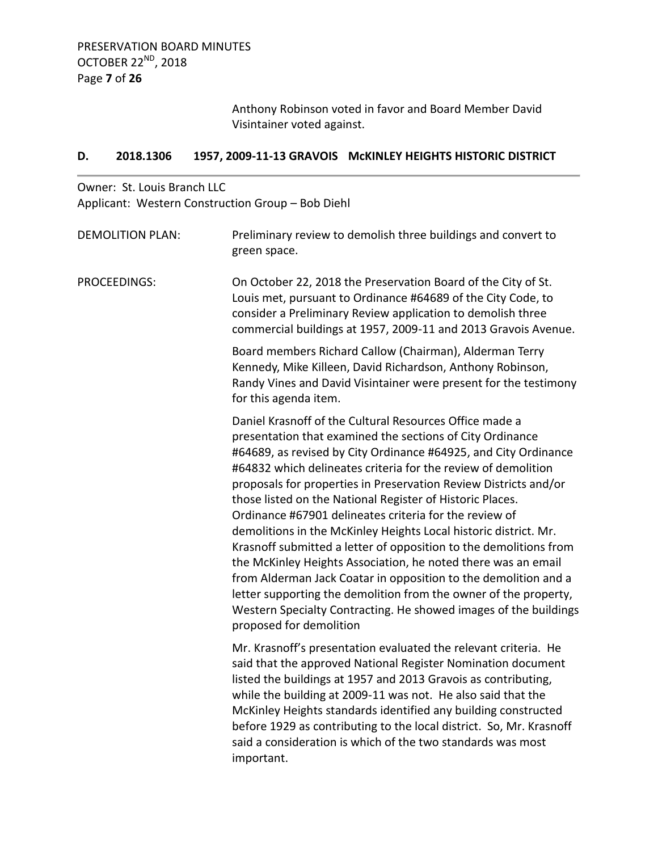Anthony Robinson voted in favor and Board Member David Visintainer voted against.

# **D. 2018.1306 1957, 2009-11-13 GRAVOIS McKINLEY HEIGHTS HISTORIC DISTRICT**

# Owner: St. Louis Branch LLC Applicant: Western Construction Group – Bob Diehl

| <b>DEMOLITION PLAN:</b> | Preliminary review to demolish three buildings and convert to<br>green space.                                                                                                                                                                                                                                                                                                                                                                                                                                                                                                                                                                                                                                                                                                                                                                                                                       |
|-------------------------|-----------------------------------------------------------------------------------------------------------------------------------------------------------------------------------------------------------------------------------------------------------------------------------------------------------------------------------------------------------------------------------------------------------------------------------------------------------------------------------------------------------------------------------------------------------------------------------------------------------------------------------------------------------------------------------------------------------------------------------------------------------------------------------------------------------------------------------------------------------------------------------------------------|
| PROCEEDINGS:            | On October 22, 2018 the Preservation Board of the City of St.<br>Louis met, pursuant to Ordinance #64689 of the City Code, to<br>consider a Preliminary Review application to demolish three<br>commercial buildings at 1957, 2009-11 and 2013 Gravois Avenue.                                                                                                                                                                                                                                                                                                                                                                                                                                                                                                                                                                                                                                      |
|                         | Board members Richard Callow (Chairman), Alderman Terry<br>Kennedy, Mike Killeen, David Richardson, Anthony Robinson,<br>Randy Vines and David Visintainer were present for the testimony<br>for this agenda item.                                                                                                                                                                                                                                                                                                                                                                                                                                                                                                                                                                                                                                                                                  |
|                         | Daniel Krasnoff of the Cultural Resources Office made a<br>presentation that examined the sections of City Ordinance<br>#64689, as revised by City Ordinance #64925, and City Ordinance<br>#64832 which delineates criteria for the review of demolition<br>proposals for properties in Preservation Review Districts and/or<br>those listed on the National Register of Historic Places.<br>Ordinance #67901 delineates criteria for the review of<br>demolitions in the McKinley Heights Local historic district. Mr.<br>Krasnoff submitted a letter of opposition to the demolitions from<br>the McKinley Heights Association, he noted there was an email<br>from Alderman Jack Coatar in opposition to the demolition and a<br>letter supporting the demolition from the owner of the property,<br>Western Specialty Contracting. He showed images of the buildings<br>proposed for demolition |
|                         | Mr. Krasnoff's presentation evaluated the relevant criteria. He<br>said that the approved National Register Nomination document<br>listed the buildings at 1957 and 2013 Gravois as contributing,<br>while the building at 2009-11 was not. He also said that the<br>McKinley Heights standards identified any building constructed<br>before 1929 as contributing to the local district. So, Mr. Krasnoff<br>said a consideration is which of the two standards was most<br>important.                                                                                                                                                                                                                                                                                                                                                                                                             |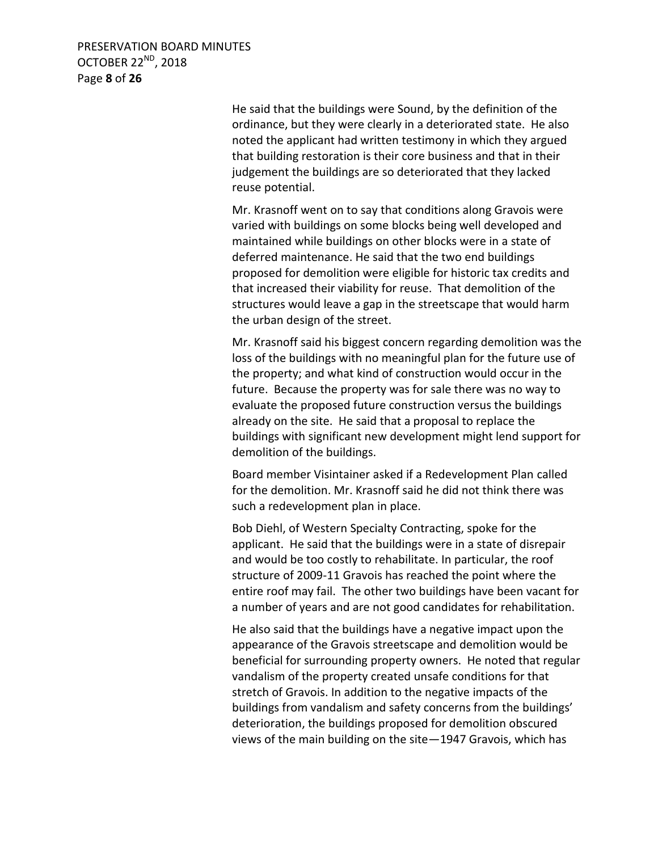PRESERVATION BOARD MINUTES OCTOBER 22<sup>ND</sup>, 2018 Page **8** of **26**

> He said that the buildings were Sound, by the definition of the ordinance, but they were clearly in a deteriorated state. He also noted the applicant had written testimony in which they argued that building restoration is their core business and that in their judgement the buildings are so deteriorated that they lacked reuse potential.

> Mr. Krasnoff went on to say that conditions along Gravois were varied with buildings on some blocks being well developed and maintained while buildings on other blocks were in a state of deferred maintenance. He said that the two end buildings proposed for demolition were eligible for historic tax credits and that increased their viability for reuse. That demolition of the structures would leave a gap in the streetscape that would harm the urban design of the street.

Mr. Krasnoff said his biggest concern regarding demolition was the loss of the buildings with no meaningful plan for the future use of the property; and what kind of construction would occur in the future. Because the property was for sale there was no way to evaluate the proposed future construction versus the buildings already on the site. He said that a proposal to replace the buildings with significant new development might lend support for demolition of the buildings.

Board member Visintainer asked if a Redevelopment Plan called for the demolition. Mr. Krasnoff said he did not think there was such a redevelopment plan in place.

Bob Diehl, of Western Specialty Contracting, spoke for the applicant. He said that the buildings were in a state of disrepair and would be too costly to rehabilitate. In particular, the roof structure of 2009-11 Gravois has reached the point where the entire roof may fail. The other two buildings have been vacant for a number of years and are not good candidates for rehabilitation.

He also said that the buildings have a negative impact upon the appearance of the Gravois streetscape and demolition would be beneficial for surrounding property owners. He noted that regular vandalism of the property created unsafe conditions for that stretch of Gravois. In addition to the negative impacts of the buildings from vandalism and safety concerns from the buildings' deterioration, the buildings proposed for demolition obscured views of the main building on the site—1947 Gravois, which has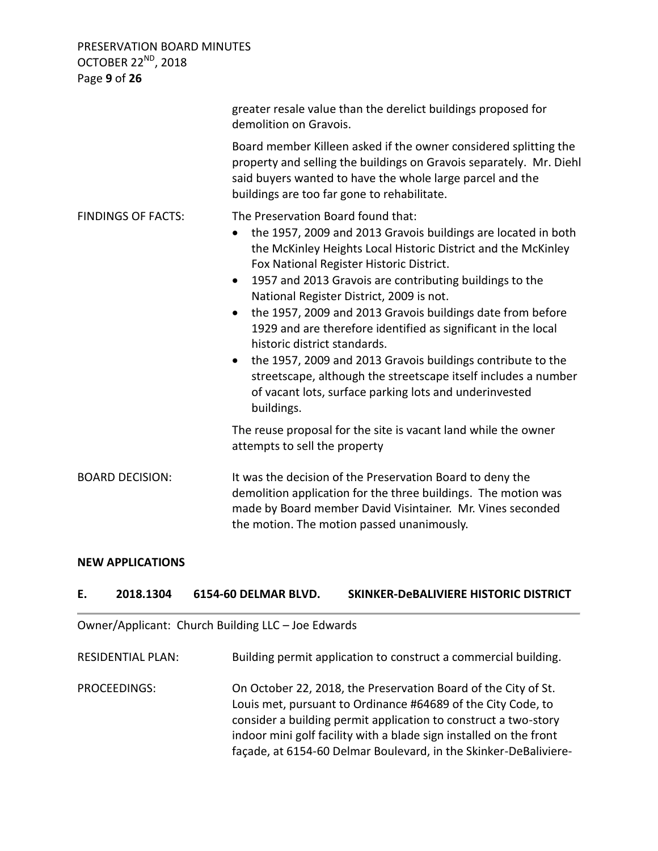PRESERVATION BOARD MINUTES OCTOBER 22<sup>ND</sup>, 2018 Page **9** of **26**

greater resale value than the derelict buildings proposed for demolition on Gravois. Board member Killeen asked if the owner considered splitting the property and selling the buildings on Gravois separately. Mr. Diehl said buyers wanted to have the whole large parcel and the buildings are too far gone to rehabilitate. FINDINGS OF FACTS: The Preservation Board found that: • the 1957, 2009 and 2013 Gravois buildings are located in both the McKinley Heights Local Historic District and the McKinley Fox National Register Historic District. 1957 and 2013 Gravois are contributing buildings to the National Register District, 2009 is not. the 1957, 2009 and 2013 Gravois buildings date from before 1929 and are therefore identified as significant in the local historic district standards. • the 1957, 2009 and 2013 Gravois buildings contribute to the streetscape, although the streetscape itself includes a number of vacant lots, surface parking lots and underinvested buildings. The reuse proposal for the site is vacant land while the owner attempts to sell the property BOARD DECISION: It was the decision of the Preservation Board to deny the demolition application for the three buildings. The motion was made by Board member David Visintainer. Mr. Vines seconded

#### **NEW APPLICATIONS**

### **E. 2018.1304 6154-60 DELMAR BLVD. SKINKER-DeBALIVIERE HISTORIC DISTRICT**

the motion. The motion passed unanimously.

Owner/Applicant: Church Building LLC – Joe Edwards

RESIDENTIAL PLAN: Building permit application to construct a commercial building.

PROCEEDINGS: On October 22, 2018, the Preservation Board of the City of St. Louis met, pursuant to Ordinance #64689 of the City Code, to consider a building permit application to construct a two-story indoor mini golf facility with a blade sign installed on the front façade, at 6154-60 Delmar Boulevard, in the Skinker-DeBaliviere-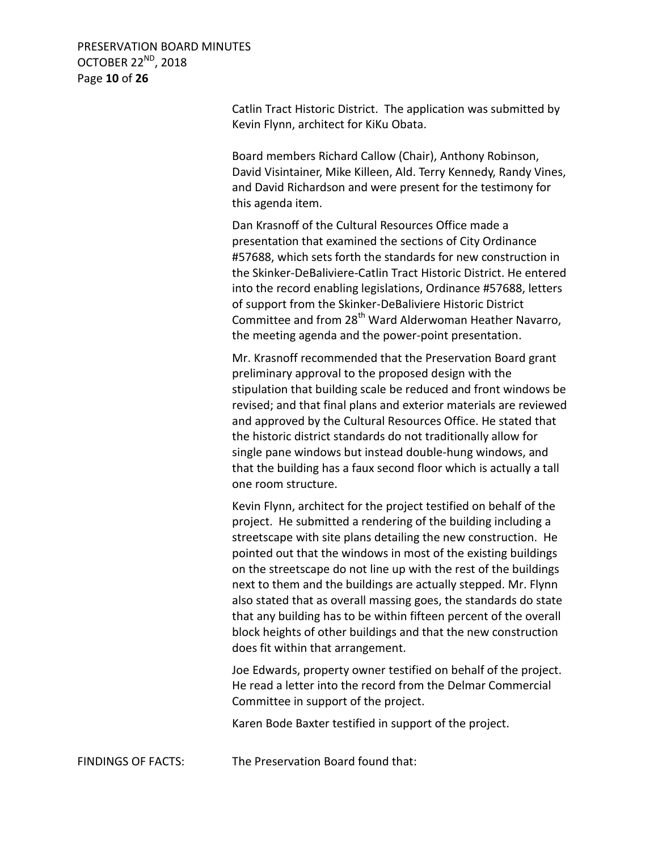PRESERVATION BOARD MINUTES OCTOBER 22<sup>ND</sup>, 2018 Page **10** of **26**

> Catlin Tract Historic District. The application was submitted by Kevin Flynn, architect for KiKu Obata.

Board members Richard Callow (Chair), Anthony Robinson, David Visintainer, Mike Killeen, Ald. Terry Kennedy, Randy Vines, and David Richardson and were present for the testimony for this agenda item.

Dan Krasnoff of the Cultural Resources Office made a presentation that examined the sections of City Ordinance #57688, which sets forth the standards for new construction in the Skinker-DeBaliviere-Catlin Tract Historic District. He entered into the record enabling legislations, Ordinance #57688, letters of support from the Skinker-DeBaliviere Historic District Committee and from 28<sup>th</sup> Ward Alderwoman Heather Navarro, the meeting agenda and the power-point presentation.

Mr. Krasnoff recommended that the Preservation Board grant preliminary approval to the proposed design with the stipulation that building scale be reduced and front windows be revised; and that final plans and exterior materials are reviewed and approved by the Cultural Resources Office. He stated that the historic district standards do not traditionally allow for single pane windows but instead double-hung windows, and that the building has a faux second floor which is actually a tall one room structure.

Kevin Flynn, architect for the project testified on behalf of the project. He submitted a rendering of the building including a streetscape with site plans detailing the new construction. He pointed out that the windows in most of the existing buildings on the streetscape do not line up with the rest of the buildings next to them and the buildings are actually stepped. Mr. Flynn also stated that as overall massing goes, the standards do state that any building has to be within fifteen percent of the overall block heights of other buildings and that the new construction does fit within that arrangement.

Joe Edwards, property owner testified on behalf of the project. He read a letter into the record from the Delmar Commercial Committee in support of the project.

Karen Bode Baxter testified in support of the project.

FINDINGS OF FACTS: The Preservation Board found that: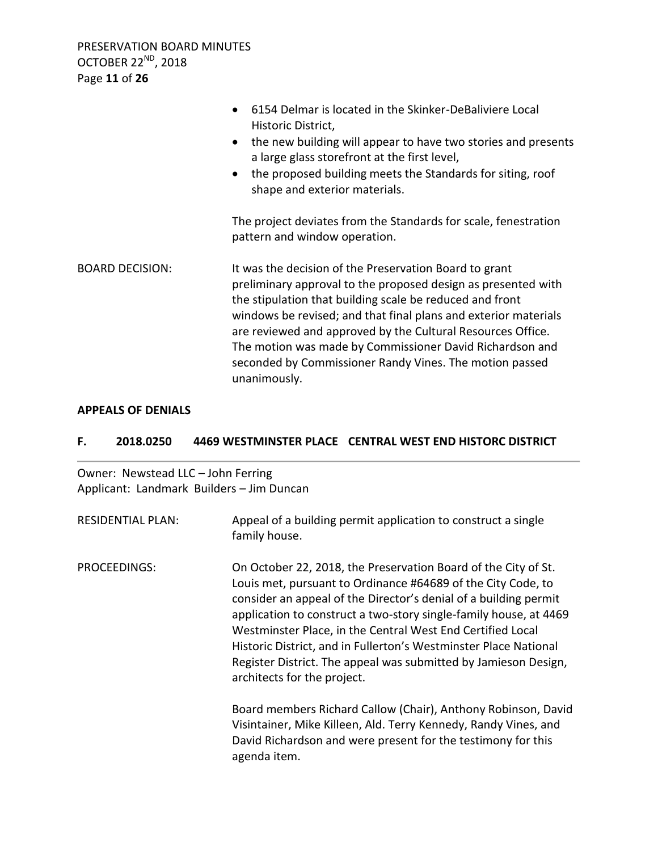PRESERVATION BOARD MINUTES OCTOBER 22<sup>ND</sup>, 2018 Page **11** of **26**

|                        | 6154 Delmar is located in the Skinker-DeBaliviere Local<br>$\bullet$<br>Historic District,<br>the new building will appear to have two stories and presents<br>$\bullet$<br>a large glass storefront at the first level,<br>the proposed building meets the Standards for siting, roof<br>$\bullet$<br>shape and exterior materials.                                                                                                                         |
|------------------------|--------------------------------------------------------------------------------------------------------------------------------------------------------------------------------------------------------------------------------------------------------------------------------------------------------------------------------------------------------------------------------------------------------------------------------------------------------------|
|                        | The project deviates from the Standards for scale, fenestration<br>pattern and window operation.                                                                                                                                                                                                                                                                                                                                                             |
| <b>BOARD DECISION:</b> | It was the decision of the Preservation Board to grant<br>preliminary approval to the proposed design as presented with<br>the stipulation that building scale be reduced and front<br>windows be revised; and that final plans and exterior materials<br>are reviewed and approved by the Cultural Resources Office.<br>The motion was made by Commissioner David Richardson and<br>seconded by Commissioner Randy Vines. The motion passed<br>unanimously. |

### **APPEALS OF DENIALS**

### **F. 2018.0250 4469 WESTMINSTER PLACE CENTRAL WEST END HISTORC DISTRICT**

Owner: Newstead LLC – John Ferring Applicant: Landmark Builders – Jim Duncan

| <b>RESIDENTIAL PLAN:</b> | Appeal of a building permit application to construct a single<br>family house.                                                                                                                                                                                                                                                                                                                                                                                                                              |
|--------------------------|-------------------------------------------------------------------------------------------------------------------------------------------------------------------------------------------------------------------------------------------------------------------------------------------------------------------------------------------------------------------------------------------------------------------------------------------------------------------------------------------------------------|
| PROCEEDINGS:             | On October 22, 2018, the Preservation Board of the City of St.<br>Louis met, pursuant to Ordinance #64689 of the City Code, to<br>consider an appeal of the Director's denial of a building permit<br>application to construct a two-story single-family house, at 4469<br>Westminster Place, in the Central West End Certified Local<br>Historic District, and in Fullerton's Westminster Place National<br>Register District. The appeal was submitted by Jamieson Design,<br>architects for the project. |
|                          | Board members Richard Callow (Chair), Anthony Robinson, David<br>Visintainer, Mike Killeen, Ald. Terry Kennedy, Randy Vines, and<br>David Richardson and were present for the testimony for this<br>agenda item.                                                                                                                                                                                                                                                                                            |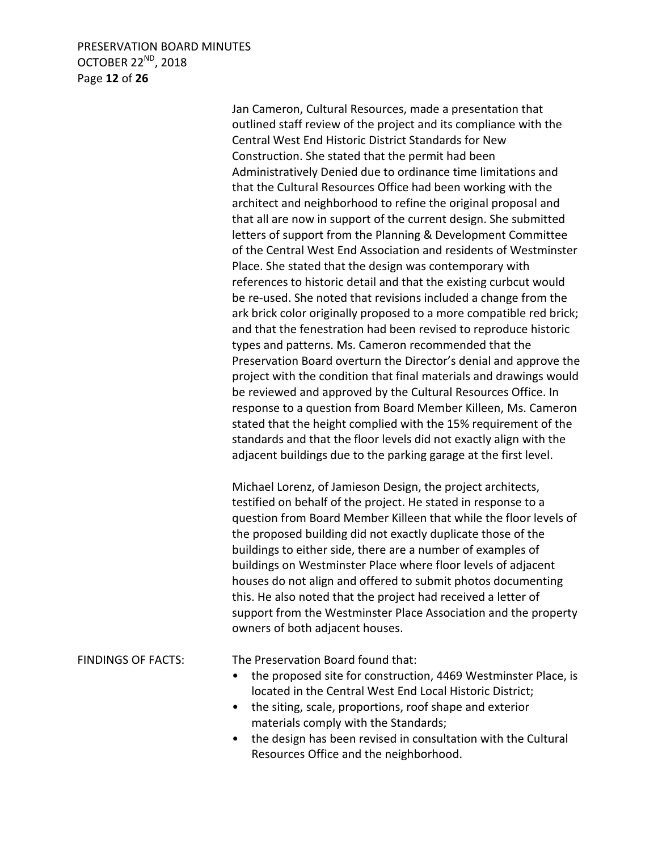# PRESERVATION BOARD MINUTES OCTOBER 22<sup>ND</sup>, 2018 Page **12** of **26**

Jan Cameron, Cultural Resources, made a presentation that outlined staff review of the project and its compliance with the Central West End Historic District Standards for New Construction. She stated that the permit had been Administratively Denied due to ordinance time limitations and that the Cultural Resources Office had been working with the architect and neighborhood to refine the original proposal and that all are now in support of the current design. She submitted letters of support from the Planning & Development Committee of the Central West End Association and residents of Westminster Place. She stated that the design was contemporary with references to historic detail and that the existing curbcut would be re-used. She noted that revisions included a change from the ark brick color originally proposed to a more compatible red brick; and that the fenestration had been revised to reproduce historic types and patterns. Ms. Cameron recommended that the Preservation Board overturn the Director's denial and approve the project with the condition that final materials and drawings would be reviewed and approved by the Cultural Resources Office. In response to a question from Board Member Killeen, Ms. Cameron stated that the height complied with the 15% requirement of the standards and that the floor levels did not exactly align with the adjacent buildings due to the parking garage at the first level.

Michael Lorenz, of Jamieson Design, the project architects, testified on behalf of the project. He stated in response to a question from Board Member Killeen that while the floor levels of the proposed building did not exactly duplicate those of the buildings to either side, there are a number of examples of buildings on Westminster Place where floor levels of adjacent houses do not align and offered to submit photos documenting this. He also noted that the project had received a letter of support from the Westminster Place Association and the property owners of both adjacent houses.

FINDINGS OF FACTS: The Preservation Board found that:

- the proposed site for construction, 4469 Westminster Place, is located in the Central West End Local Historic District;
- the siting, scale, proportions, roof shape and exterior materials comply with the Standards;
- the design has been revised in consultation with the Cultural Resources Office and the neighborhood.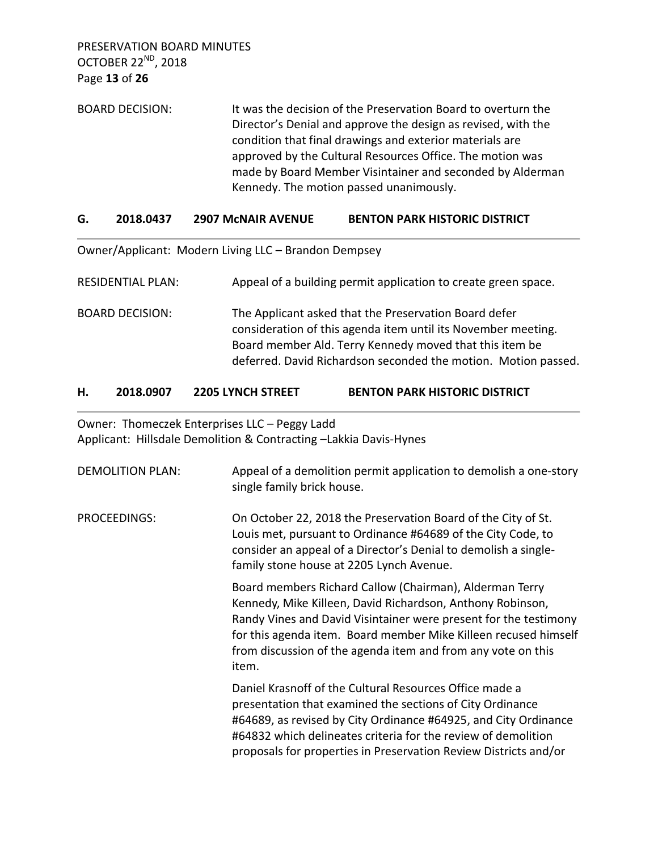PRESERVATION BOARD MINUTES OCTOBER 22ND, 2018 Page **13** of **26**

BOARD DECISION: It was the decision of the Preservation Board to overturn the Director's Denial and approve the design as revised, with the condition that final drawings and exterior materials are approved by the Cultural Resources Office. The motion was made by Board Member Visintainer and seconded by Alderman Kennedy. The motion passed unanimously.

## **G. 2018.0437 2907 McNAIR AVENUE BENTON PARK HISTORIC DISTRICT**

Owner/Applicant: Modern Living LLC – Brandon Dempsey

RESIDENTIAL PLAN: Appeal of a building permit application to create green space.

BOARD DECISION: The Applicant asked that the Preservation Board defer consideration of this agenda item until its November meeting. Board member Ald. Terry Kennedy moved that this item be deferred. David Richardson seconded the motion. Motion passed.

## **H. 2018.0907 2205 LYNCH STREET BENTON PARK HISTORIC DISTRICT**

Owner: Thomeczek Enterprises LLC – Peggy Ladd Applicant: Hillsdale Demolition & Contracting –Lakkia Davis-Hynes

| <b>DEMOLITION PLAN:</b> | Appeal of a demolition permit application to demolish a one-story<br>single family brick house.                                                                                                                                                                                                                                       |
|-------------------------|---------------------------------------------------------------------------------------------------------------------------------------------------------------------------------------------------------------------------------------------------------------------------------------------------------------------------------------|
| <b>PROCEEDINGS:</b>     | On October 22, 2018 the Preservation Board of the City of St.<br>Louis met, pursuant to Ordinance #64689 of the City Code, to<br>consider an appeal of a Director's Denial to demolish a single-<br>family stone house at 2205 Lynch Avenue.                                                                                          |
|                         | Board members Richard Callow (Chairman), Alderman Terry<br>Kennedy, Mike Killeen, David Richardson, Anthony Robinson,<br>Randy Vines and David Visintainer were present for the testimony<br>for this agenda item. Board member Mike Killeen recused himself<br>from discussion of the agenda item and from any vote on this<br>item. |
|                         | Daniel Krasnoff of the Cultural Resources Office made a<br>presentation that examined the sections of City Ordinance<br>#64689, as revised by City Ordinance #64925, and City Ordinance<br>#64832 which delineates criteria for the review of demolition<br>proposals for properties in Preservation Review Districts and/or          |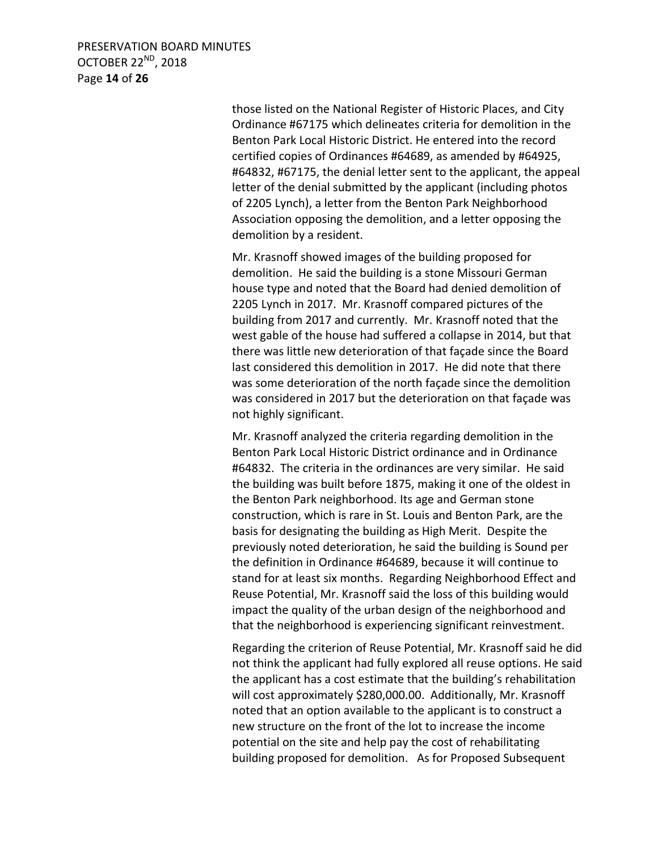PRESERVATION BOARD MINUTES OCTOBER 22<sup>ND</sup>, 2018 Page **14** of **26**

> those listed on the National Register of Historic Places, and City Ordinance #67175 which delineates criteria for demolition in the Benton Park Local Historic District. He entered into the record certified copies of Ordinances #64689, as amended by #64925, #64832, #67175, the denial letter sent to the applicant, the appeal letter of the denial submitted by the applicant (including photos of 2205 Lynch), a letter from the Benton Park Neighborhood Association opposing the demolition, and a letter opposing the demolition by a resident.

Mr. Krasnoff showed images of the building proposed for demolition. He said the building is a stone Missouri German house type and noted that the Board had denied demolition of 2205 Lynch in 2017. Mr. Krasnoff compared pictures of the building from 2017 and currently. Mr. Krasnoff noted that the west gable of the house had suffered a collapse in 2014, but that there was little new deterioration of that façade since the Board last considered this demolition in 2017. He did note that there was some deterioration of the north façade since the demolition was considered in 2017 but the deterioration on that façade was not highly significant.

Mr. Krasnoff analyzed the criteria regarding demolition in the Benton Park Local Historic District ordinance and in Ordinance #64832. The criteria in the ordinances are very similar. He said the building was built before 1875, making it one of the oldest in the Benton Park neighborhood. Its age and German stone construction, which is rare in St. Louis and Benton Park, are the basis for designating the building as High Merit. Despite the previously noted deterioration, he said the building is Sound per the definition in Ordinance #64689, because it will continue to stand for at least six months. Regarding Neighborhood Effect and Reuse Potential, Mr. Krasnoff said the loss of this building would impact the quality of the urban design of the neighborhood and that the neighborhood is experiencing significant reinvestment.

Regarding the criterion of Reuse Potential, Mr. Krasnoff said he did not think the applicant had fully explored all reuse options. He said the applicant has a cost estimate that the building's rehabilitation will cost approximately \$280,000.00. Additionally, Mr. Krasnoff noted that an option available to the applicant is to construct a new structure on the front of the lot to increase the income potential on the site and help pay the cost of rehabilitating building proposed for demolition. As for Proposed Subsequent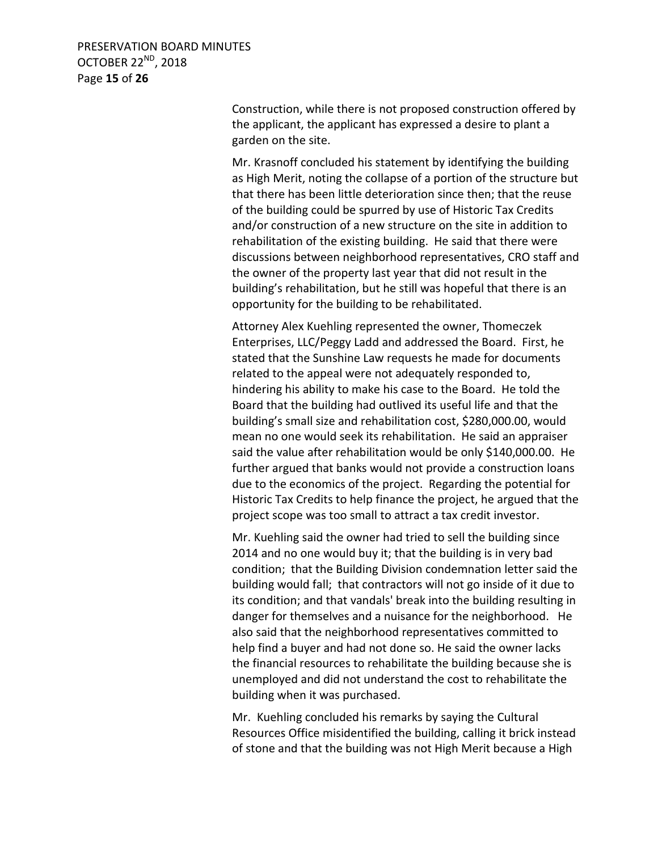PRESERVATION BOARD MINUTES OCTOBER 22<sup>ND</sup>, 2018 Page **15** of **26**

> Construction, while there is not proposed construction offered by the applicant, the applicant has expressed a desire to plant a garden on the site.

Mr. Krasnoff concluded his statement by identifying the building as High Merit, noting the collapse of a portion of the structure but that there has been little deterioration since then; that the reuse of the building could be spurred by use of Historic Tax Credits and/or construction of a new structure on the site in addition to rehabilitation of the existing building. He said that there were discussions between neighborhood representatives, CRO staff and the owner of the property last year that did not result in the building's rehabilitation, but he still was hopeful that there is an opportunity for the building to be rehabilitated.

Attorney Alex Kuehling represented the owner, Thomeczek Enterprises, LLC/Peggy Ladd and addressed the Board. First, he stated that the Sunshine Law requests he made for documents related to the appeal were not adequately responded to, hindering his ability to make his case to the Board. He told the Board that the building had outlived its useful life and that the building's small size and rehabilitation cost, \$280,000.00, would mean no one would seek its rehabilitation. He said an appraiser said the value after rehabilitation would be only \$140,000.00. He further argued that banks would not provide a construction loans due to the economics of the project. Regarding the potential for Historic Tax Credits to help finance the project, he argued that the project scope was too small to attract a tax credit investor.

Mr. Kuehling said the owner had tried to sell the building since 2014 and no one would buy it; that the building is in very bad condition; that the Building Division condemnation letter said the building would fall; that contractors will not go inside of it due to its condition; and that vandals' break into the building resulting in danger for themselves and a nuisance for the neighborhood. He also said that the neighborhood representatives committed to help find a buyer and had not done so. He said the owner lacks the financial resources to rehabilitate the building because she is unemployed and did not understand the cost to rehabilitate the building when it was purchased.

Mr. Kuehling concluded his remarks by saying the Cultural Resources Office misidentified the building, calling it brick instead of stone and that the building was not High Merit because a High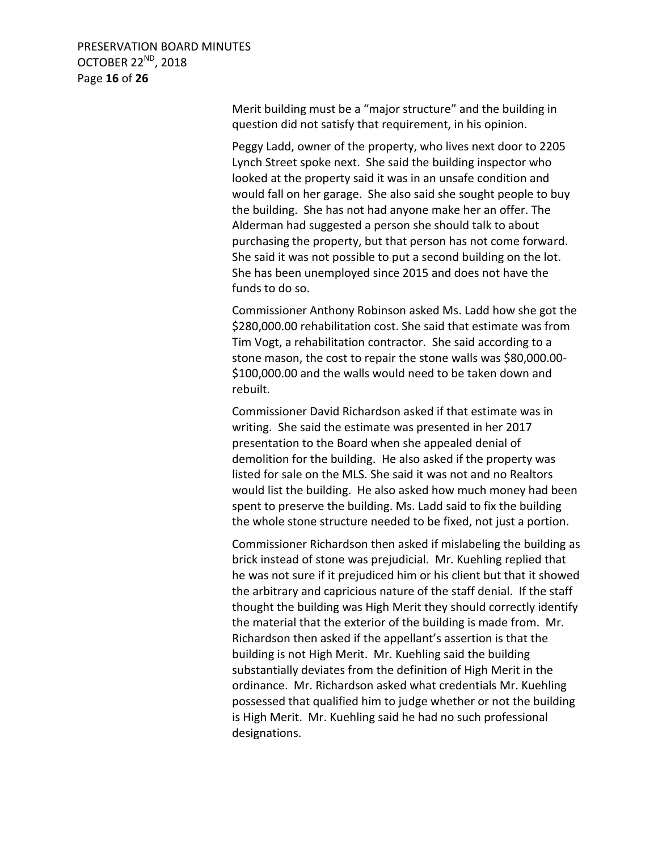PRESERVATION BOARD MINUTES OCTOBER 22<sup>ND</sup>, 2018 Page **16** of **26**

> Merit building must be a "major structure" and the building in question did not satisfy that requirement, in his opinion.

Peggy Ladd, owner of the property, who lives next door to 2205 Lynch Street spoke next. She said the building inspector who looked at the property said it was in an unsafe condition and would fall on her garage. She also said she sought people to buy the building. She has not had anyone make her an offer. The Alderman had suggested a person she should talk to about purchasing the property, but that person has not come forward. She said it was not possible to put a second building on the lot. She has been unemployed since 2015 and does not have the funds to do so.

Commissioner Anthony Robinson asked Ms. Ladd how she got the \$280,000.00 rehabilitation cost. She said that estimate was from Tim Vogt, a rehabilitation contractor. She said according to a stone mason, the cost to repair the stone walls was \$80,000.00- \$100,000.00 and the walls would need to be taken down and rebuilt.

Commissioner David Richardson asked if that estimate was in writing. She said the estimate was presented in her 2017 presentation to the Board when she appealed denial of demolition for the building. He also asked if the property was listed for sale on the MLS. She said it was not and no Realtors would list the building. He also asked how much money had been spent to preserve the building. Ms. Ladd said to fix the building the whole stone structure needed to be fixed, not just a portion.

Commissioner Richardson then asked if mislabeling the building as brick instead of stone was prejudicial. Mr. Kuehling replied that he was not sure if it prejudiced him or his client but that it showed the arbitrary and capricious nature of the staff denial. If the staff thought the building was High Merit they should correctly identify the material that the exterior of the building is made from. Mr. Richardson then asked if the appellant's assertion is that the building is not High Merit. Mr. Kuehling said the building substantially deviates from the definition of High Merit in the ordinance. Mr. Richardson asked what credentials Mr. Kuehling possessed that qualified him to judge whether or not the building is High Merit. Mr. Kuehling said he had no such professional designations.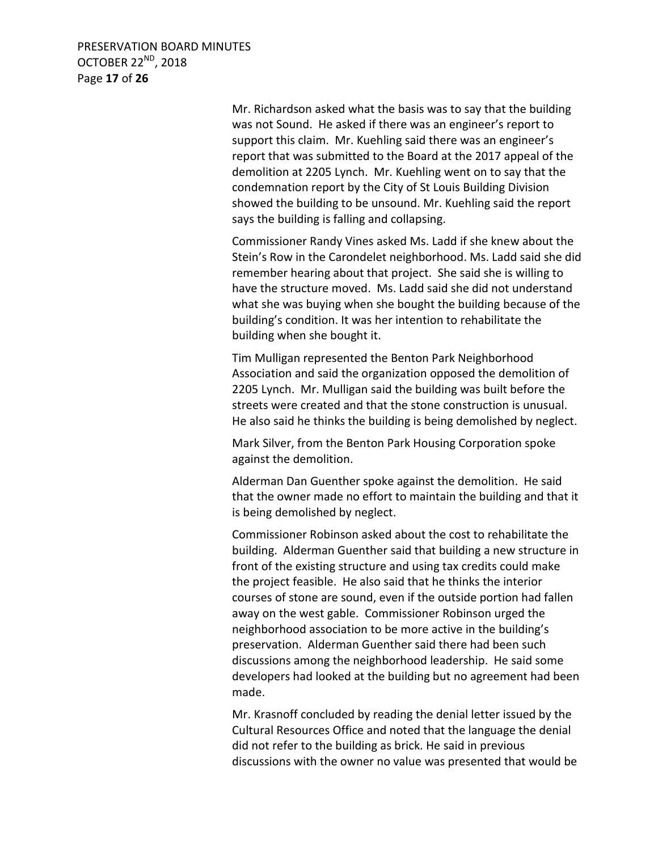PRESERVATION BOARD MINUTES OCTOBER 22<sup>ND</sup>, 2018 Page **17** of **26**

> Mr. Richardson asked what the basis was to say that the building was not Sound. He asked if there was an engineer's report to support this claim. Mr. Kuehling said there was an engineer's report that was submitted to the Board at the 2017 appeal of the demolition at 2205 Lynch. Mr. Kuehling went on to say that the condemnation report by the City of St Louis Building Division showed the building to be unsound. Mr. Kuehling said the report says the building is falling and collapsing.

Commissioner Randy Vines asked Ms. Ladd if she knew about the Stein's Row in the Carondelet neighborhood. Ms. Ladd said she did remember hearing about that project. She said she is willing to have the structure moved. Ms. Ladd said she did not understand what she was buying when she bought the building because of the building's condition. It was her intention to rehabilitate the building when she bought it.

Tim Mulligan represented the Benton Park Neighborhood Association and said the organization opposed the demolition of 2205 Lynch. Mr. Mulligan said the building was built before the streets were created and that the stone construction is unusual. He also said he thinks the building is being demolished by neglect.

Mark Silver, from the Benton Park Housing Corporation spoke against the demolition.

Alderman Dan Guenther spoke against the demolition. He said that the owner made no effort to maintain the building and that it is being demolished by neglect.

Commissioner Robinson asked about the cost to rehabilitate the building. Alderman Guenther said that building a new structure in front of the existing structure and using tax credits could make the project feasible. He also said that he thinks the interior courses of stone are sound, even if the outside portion had fallen away on the west gable. Commissioner Robinson urged the neighborhood association to be more active in the building's preservation. Alderman Guenther said there had been such discussions among the neighborhood leadership. He said some developers had looked at the building but no agreement had been made.

Mr. Krasnoff concluded by reading the denial letter issued by the Cultural Resources Office and noted that the language the denial did not refer to the building as brick. He said in previous discussions with the owner no value was presented that would be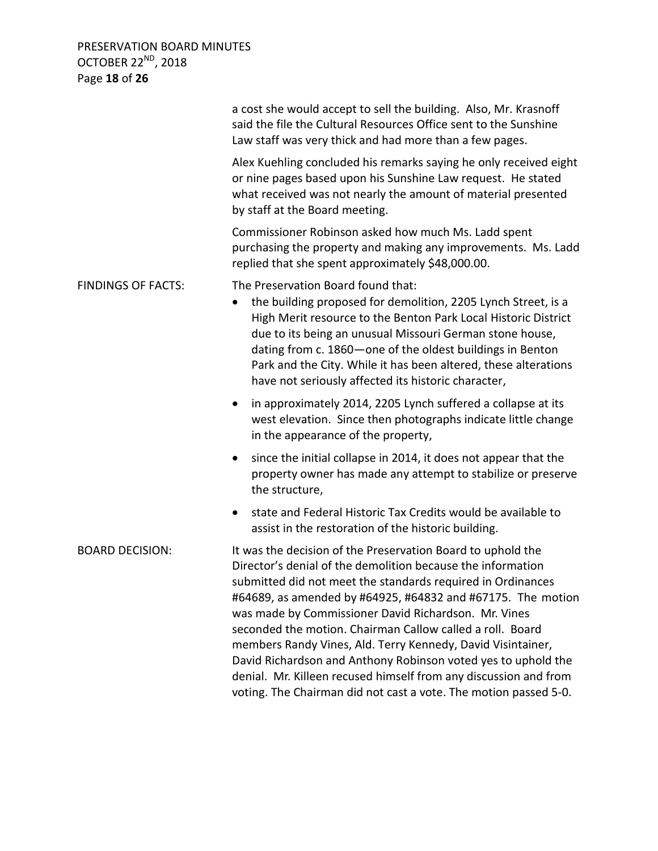PRESERVATION BOARD MINUTES OCTOBER 22<sup>ND</sup>, 2018 Page **18** of **26**

|                           | a cost she would accept to sell the building. Also, Mr. Krasnoff<br>said the file the Cultural Resources Office sent to the Sunshine<br>Law staff was very thick and had more than a few pages.                                                                                                                                                                                                                                                                                                                                                                                                                                                       |
|---------------------------|-------------------------------------------------------------------------------------------------------------------------------------------------------------------------------------------------------------------------------------------------------------------------------------------------------------------------------------------------------------------------------------------------------------------------------------------------------------------------------------------------------------------------------------------------------------------------------------------------------------------------------------------------------|
|                           | Alex Kuehling concluded his remarks saying he only received eight<br>or nine pages based upon his Sunshine Law request. He stated<br>what received was not nearly the amount of material presented<br>by staff at the Board meeting.                                                                                                                                                                                                                                                                                                                                                                                                                  |
|                           | Commissioner Robinson asked how much Ms. Ladd spent<br>purchasing the property and making any improvements. Ms. Ladd<br>replied that she spent approximately \$48,000.00.                                                                                                                                                                                                                                                                                                                                                                                                                                                                             |
| <b>FINDINGS OF FACTS:</b> | The Preservation Board found that:<br>the building proposed for demolition, 2205 Lynch Street, is a<br>$\bullet$<br>High Merit resource to the Benton Park Local Historic District<br>due to its being an unusual Missouri German stone house,<br>dating from c. 1860-one of the oldest buildings in Benton<br>Park and the City. While it has been altered, these alterations<br>have not seriously affected its historic character,                                                                                                                                                                                                                 |
|                           | in approximately 2014, 2205 Lynch suffered a collapse at its<br>$\bullet$<br>west elevation. Since then photographs indicate little change<br>in the appearance of the property,                                                                                                                                                                                                                                                                                                                                                                                                                                                                      |
|                           | since the initial collapse in 2014, it does not appear that the<br>$\bullet$<br>property owner has made any attempt to stabilize or preserve<br>the structure,                                                                                                                                                                                                                                                                                                                                                                                                                                                                                        |
|                           | state and Federal Historic Tax Credits would be available to<br>$\bullet$<br>assist in the restoration of the historic building.                                                                                                                                                                                                                                                                                                                                                                                                                                                                                                                      |
| <b>BOARD DECISION:</b>    | It was the decision of the Preservation Board to uphold the<br>Director's denial of the demolition because the information<br>submitted did not meet the standards required in Ordinances<br>#64689, as amended by #64925, #64832 and #67175. The motion<br>was made by Commissioner David Richardson. Mr. Vines<br>seconded the motion. Chairman Callow called a roll. Board<br>members Randy Vines, Ald. Terry Kennedy, David Visintainer,<br>David Richardson and Anthony Robinson voted yes to uphold the<br>denial. Mr. Killeen recused himself from any discussion and from<br>voting. The Chairman did not cast a vote. The motion passed 5-0. |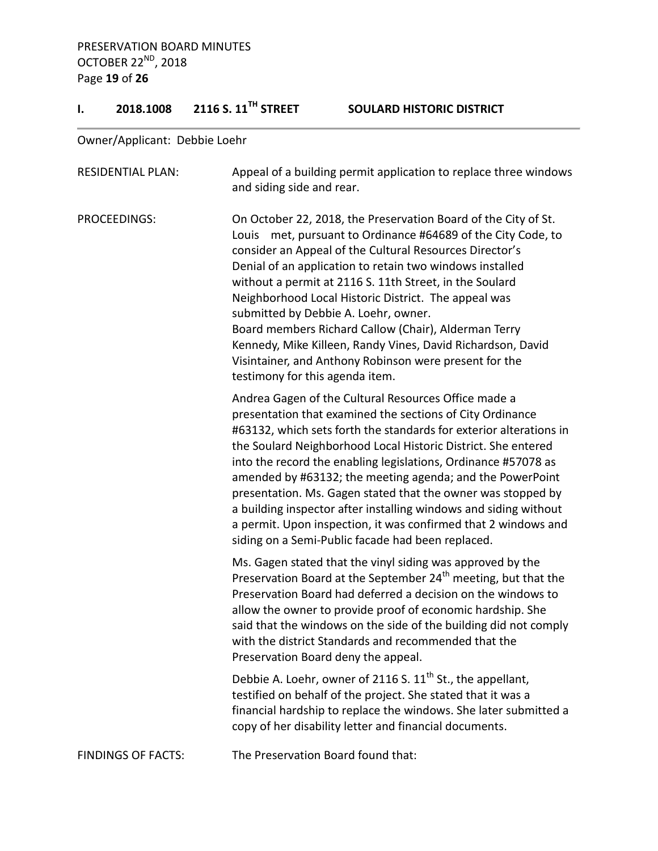# **I. 2018.1008 2116 S. 11TH STREET SOULARD HISTORIC DISTRICT**

Owner/Applicant: Debbie Loehr

| <b>RESIDENTIAL PLAN:</b>  | Appeal of a building permit application to replace three windows<br>and siding side and rear.                                                                                                                                                                                                                                                                                                                                                                                                                                                                                                                                                      |
|---------------------------|----------------------------------------------------------------------------------------------------------------------------------------------------------------------------------------------------------------------------------------------------------------------------------------------------------------------------------------------------------------------------------------------------------------------------------------------------------------------------------------------------------------------------------------------------------------------------------------------------------------------------------------------------|
| PROCEEDINGS:              | On October 22, 2018, the Preservation Board of the City of St.<br>Louis met, pursuant to Ordinance #64689 of the City Code, to<br>consider an Appeal of the Cultural Resources Director's<br>Denial of an application to retain two windows installed<br>without a permit at 2116 S. 11th Street, in the Soulard<br>Neighborhood Local Historic District. The appeal was<br>submitted by Debbie A. Loehr, owner.<br>Board members Richard Callow (Chair), Alderman Terry<br>Kennedy, Mike Killeen, Randy Vines, David Richardson, David<br>Visintainer, and Anthony Robinson were present for the<br>testimony for this agenda item.               |
|                           | Andrea Gagen of the Cultural Resources Office made a<br>presentation that examined the sections of City Ordinance<br>#63132, which sets forth the standards for exterior alterations in<br>the Soulard Neighborhood Local Historic District. She entered<br>into the record the enabling legislations, Ordinance #57078 as<br>amended by #63132; the meeting agenda; and the PowerPoint<br>presentation. Ms. Gagen stated that the owner was stopped by<br>a building inspector after installing windows and siding without<br>a permit. Upon inspection, it was confirmed that 2 windows and<br>siding on a Semi-Public facade had been replaced. |
|                           | Ms. Gagen stated that the vinyl siding was approved by the<br>Preservation Board at the September 24 <sup>th</sup> meeting, but that the<br>Preservation Board had deferred a decision on the windows to<br>allow the owner to provide proof of economic hardship. She<br>said that the windows on the side of the building did not comply<br>with the district Standards and recommended that the<br>Preservation Board deny the appeal.                                                                                                                                                                                                          |
|                           | Debbie A. Loehr, owner of 2116 S. 11 <sup>th</sup> St., the appellant,<br>testified on behalf of the project. She stated that it was a<br>financial hardship to replace the windows. She later submitted a<br>copy of her disability letter and financial documents.                                                                                                                                                                                                                                                                                                                                                                               |
| <b>FINDINGS OF FACTS:</b> | The Preservation Board found that:                                                                                                                                                                                                                                                                                                                                                                                                                                                                                                                                                                                                                 |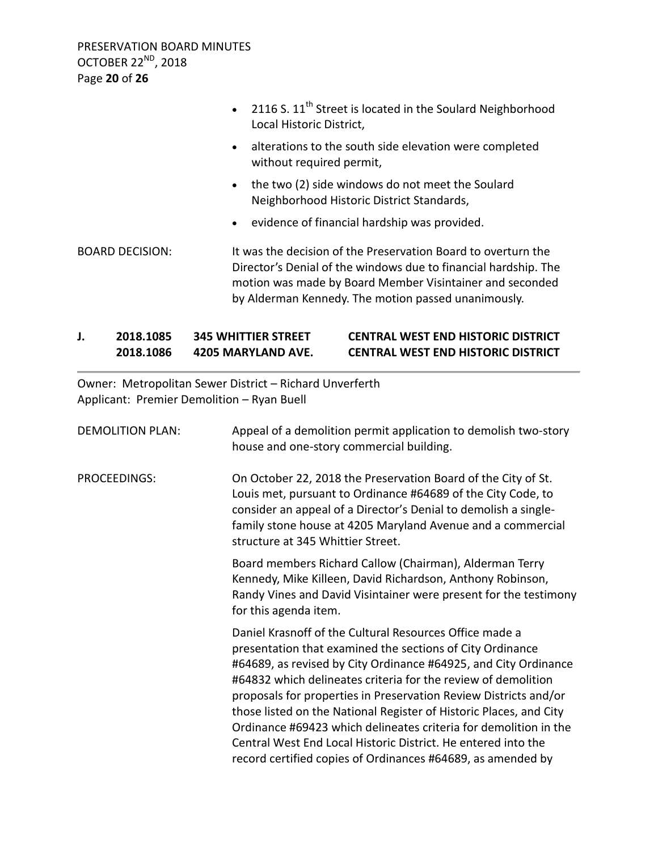PRESERVATION BOARD MINUTES OCTOBER 22<sup>ND</sup>, 2018 Page **20** of **26**

|                        |           | • 2116 S. $11^{th}$ Street is located in the Soulard Neighborhood<br>Local Historic District,                                                                                                                                                       |
|------------------------|-----------|-----------------------------------------------------------------------------------------------------------------------------------------------------------------------------------------------------------------------------------------------------|
|                        | $\bullet$ | alterations to the south side elevation were completed<br>without required permit,                                                                                                                                                                  |
|                        | $\bullet$ | the two (2) side windows do not meet the Soulard<br>Neighborhood Historic District Standards,                                                                                                                                                       |
|                        | $\bullet$ | evidence of financial hardship was provided.                                                                                                                                                                                                        |
| <b>BOARD DECISION:</b> |           | It was the decision of the Preservation Board to overturn the<br>Director's Denial of the windows due to financial hardship. The<br>motion was made by Board Member Visintainer and seconded<br>by Alderman Kennedy. The motion passed unanimously. |

# **J. 2018.1085 345 WHITTIER STREET CENTRAL WEST END HISTORIC DISTRICT 2018.1086 4205 MARYLAND AVE. CENTRAL WEST END HISTORIC DISTRICT**

Owner: Metropolitan Sewer District – Richard Unverferth Applicant: Premier Demolition – Ryan Buell

| <b>DEMOLITION PLAN:</b> | Appeal of a demolition permit application to demolish two-story<br>house and one-story commercial building.                                                                                                                                                                                                                                                                                                                                                                                                                                                                                            |
|-------------------------|--------------------------------------------------------------------------------------------------------------------------------------------------------------------------------------------------------------------------------------------------------------------------------------------------------------------------------------------------------------------------------------------------------------------------------------------------------------------------------------------------------------------------------------------------------------------------------------------------------|
| PROCEEDINGS:            | On October 22, 2018 the Preservation Board of the City of St.<br>Louis met, pursuant to Ordinance #64689 of the City Code, to<br>consider an appeal of a Director's Denial to demolish a single-<br>family stone house at 4205 Maryland Avenue and a commercial<br>structure at 345 Whittier Street.                                                                                                                                                                                                                                                                                                   |
|                         | Board members Richard Callow (Chairman), Alderman Terry<br>Kennedy, Mike Killeen, David Richardson, Anthony Robinson,<br>Randy Vines and David Visintainer were present for the testimony<br>for this agenda item.                                                                                                                                                                                                                                                                                                                                                                                     |
|                         | Daniel Krasnoff of the Cultural Resources Office made a<br>presentation that examined the sections of City Ordinance<br>#64689, as revised by City Ordinance #64925, and City Ordinance<br>#64832 which delineates criteria for the review of demolition<br>proposals for properties in Preservation Review Districts and/or<br>those listed on the National Register of Historic Places, and City<br>Ordinance #69423 which delineates criteria for demolition in the<br>Central West End Local Historic District. He entered into the<br>record certified copies of Ordinances #64689, as amended by |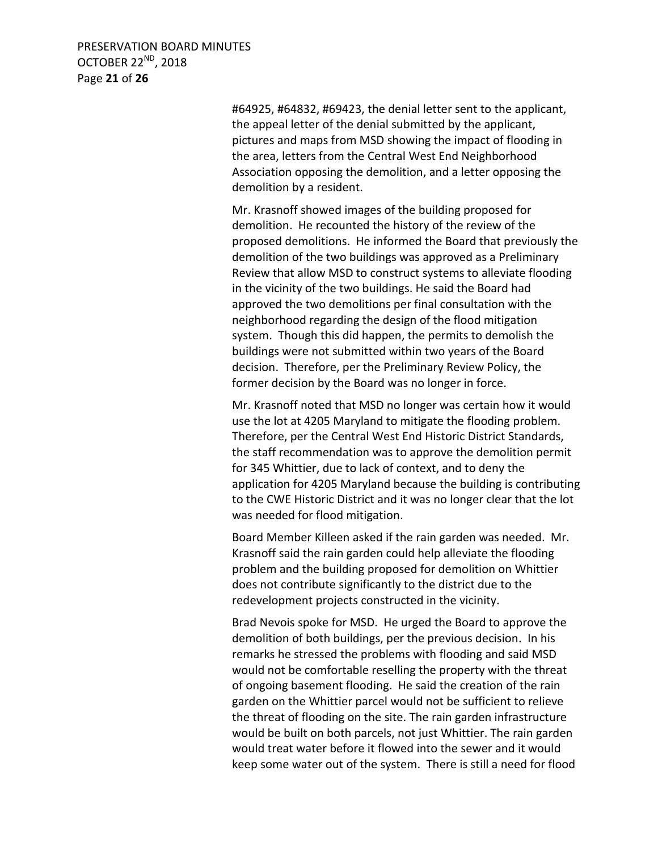PRESERVATION BOARD MINUTES OCTOBER 22<sup>ND</sup>, 2018 Page **21** of **26**

> #64925, #64832, #69423, the denial letter sent to the applicant, the appeal letter of the denial submitted by the applicant, pictures and maps from MSD showing the impact of flooding in the area, letters from the Central West End Neighborhood Association opposing the demolition, and a letter opposing the demolition by a resident.

Mr. Krasnoff showed images of the building proposed for demolition. He recounted the history of the review of the proposed demolitions. He informed the Board that previously the demolition of the two buildings was approved as a Preliminary Review that allow MSD to construct systems to alleviate flooding in the vicinity of the two buildings. He said the Board had approved the two demolitions per final consultation with the neighborhood regarding the design of the flood mitigation system. Though this did happen, the permits to demolish the buildings were not submitted within two years of the Board decision. Therefore, per the Preliminary Review Policy, the former decision by the Board was no longer in force.

Mr. Krasnoff noted that MSD no longer was certain how it would use the lot at 4205 Maryland to mitigate the flooding problem. Therefore, per the Central West End Historic District Standards, the staff recommendation was to approve the demolition permit for 345 Whittier, due to lack of context, and to deny the application for 4205 Maryland because the building is contributing to the CWE Historic District and it was no longer clear that the lot was needed for flood mitigation.

Board Member Killeen asked if the rain garden was needed. Mr. Krasnoff said the rain garden could help alleviate the flooding problem and the building proposed for demolition on Whittier does not contribute significantly to the district due to the redevelopment projects constructed in the vicinity.

Brad Nevois spoke for MSD. He urged the Board to approve the demolition of both buildings, per the previous decision. In his remarks he stressed the problems with flooding and said MSD would not be comfortable reselling the property with the threat of ongoing basement flooding. He said the creation of the rain garden on the Whittier parcel would not be sufficient to relieve the threat of flooding on the site. The rain garden infrastructure would be built on both parcels, not just Whittier. The rain garden would treat water before it flowed into the sewer and it would keep some water out of the system. There is still a need for flood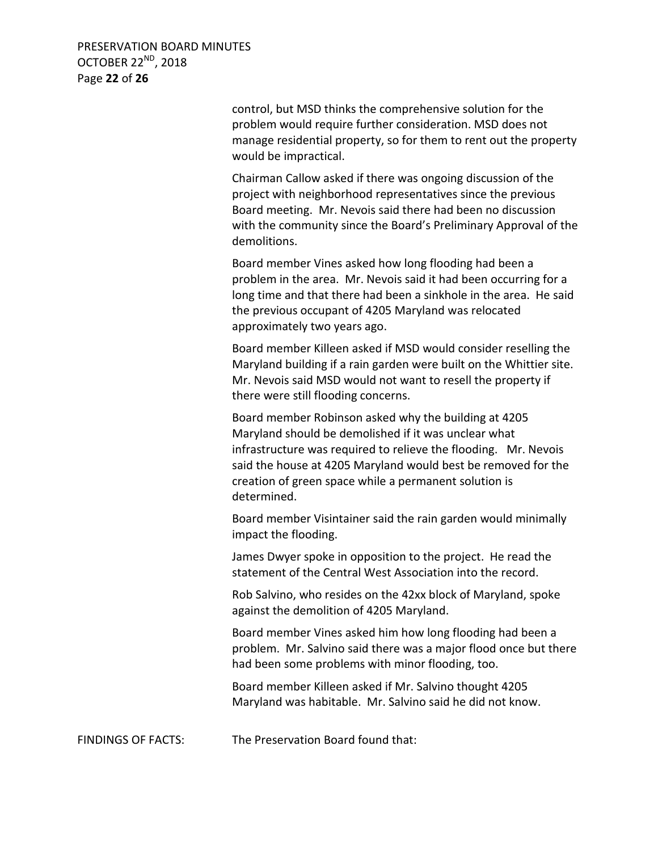PRESERVATION BOARD MINUTES OCTOBER 22<sup>ND</sup>, 2018 Page **22** of **26**

> control, but MSD thinks the comprehensive solution for the problem would require further consideration. MSD does not manage residential property, so for them to rent out the property would be impractical.

> Chairman Callow asked if there was ongoing discussion of the project with neighborhood representatives since the previous Board meeting. Mr. Nevois said there had been no discussion with the community since the Board's Preliminary Approval of the demolitions.

Board member Vines asked how long flooding had been a problem in the area. Mr. Nevois said it had been occurring for a long time and that there had been a sinkhole in the area. He said the previous occupant of 4205 Maryland was relocated approximately two years ago.

Board member Killeen asked if MSD would consider reselling the Maryland building if a rain garden were built on the Whittier site. Mr. Nevois said MSD would not want to resell the property if there were still flooding concerns.

Board member Robinson asked why the building at 4205 Maryland should be demolished if it was unclear what infrastructure was required to relieve the flooding. Mr. Nevois said the house at 4205 Maryland would best be removed for the creation of green space while a permanent solution is determined.

Board member Visintainer said the rain garden would minimally impact the flooding.

James Dwyer spoke in opposition to the project. He read the statement of the Central West Association into the record.

Rob Salvino, who resides on the 42xx block of Maryland, spoke against the demolition of 4205 Maryland.

Board member Vines asked him how long flooding had been a problem. Mr. Salvino said there was a major flood once but there had been some problems with minor flooding, too.

Board member Killeen asked if Mr. Salvino thought 4205 Maryland was habitable. Mr. Salvino said he did not know.

FINDINGS OF FACTS: The Preservation Board found that: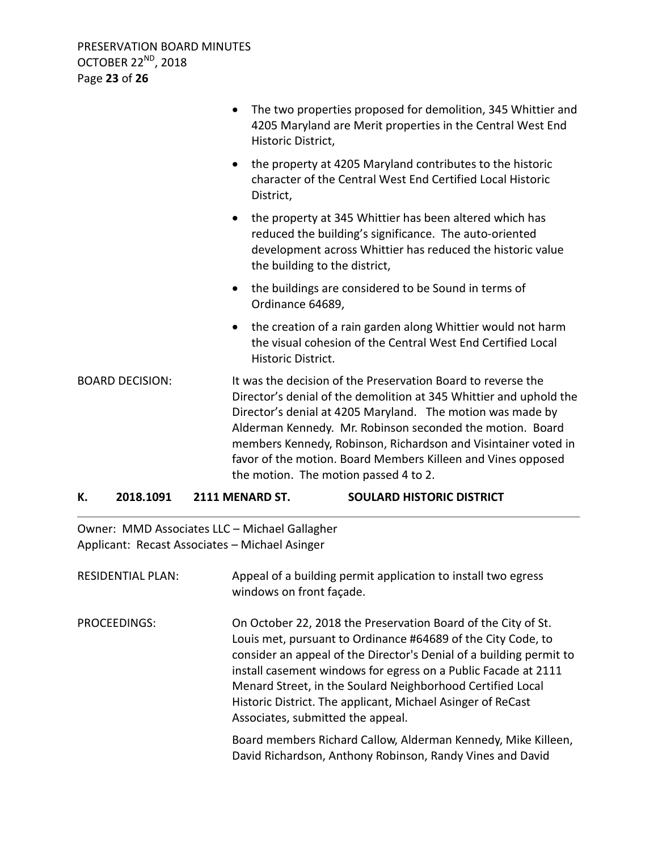|                        | The two properties proposed for demolition, 345 Whittier and<br>$\bullet$<br>4205 Maryland are Merit properties in the Central West End<br>Historic District,                                                                                                                                                                                                                                                                            |
|------------------------|------------------------------------------------------------------------------------------------------------------------------------------------------------------------------------------------------------------------------------------------------------------------------------------------------------------------------------------------------------------------------------------------------------------------------------------|
|                        | the property at 4205 Maryland contributes to the historic<br>$\bullet$<br>character of the Central West End Certified Local Historic<br>District,                                                                                                                                                                                                                                                                                        |
|                        | the property at 345 Whittier has been altered which has<br>$\bullet$<br>reduced the building's significance. The auto-oriented<br>development across Whittier has reduced the historic value<br>the building to the district,                                                                                                                                                                                                            |
|                        | the buildings are considered to be Sound in terms of<br>$\bullet$<br>Ordinance 64689,                                                                                                                                                                                                                                                                                                                                                    |
|                        | the creation of a rain garden along Whittier would not harm<br>$\bullet$<br>the visual cohesion of the Central West End Certified Local<br>Historic District.                                                                                                                                                                                                                                                                            |
| <b>BOARD DECISION:</b> | It was the decision of the Preservation Board to reverse the<br>Director's denial of the demolition at 345 Whittier and uphold the<br>Director's denial at 4205 Maryland. The motion was made by<br>Alderman Kennedy. Mr. Robinson seconded the motion. Board<br>members Kennedy, Robinson, Richardson and Visintainer voted in<br>favor of the motion. Board Members Killeen and Vines opposed<br>the motion. The motion passed 4 to 2. |

# **K. 2018.1091 2111 MENARD ST. SOULARD HISTORIC DISTRICT**

Owner: MMD Associates LLC – Michael Gallagher Applicant: Recast Associates – Michael Asinger

| <b>RESIDENTIAL PLAN:</b> | Appeal of a building permit application to install two egress<br>windows on front façade.                                                                                                                                                                                                                                                                                                                                                |
|--------------------------|------------------------------------------------------------------------------------------------------------------------------------------------------------------------------------------------------------------------------------------------------------------------------------------------------------------------------------------------------------------------------------------------------------------------------------------|
| PROCEEDINGS:             | On October 22, 2018 the Preservation Board of the City of St.<br>Louis met, pursuant to Ordinance #64689 of the City Code, to<br>consider an appeal of the Director's Denial of a building permit to<br>install casement windows for egress on a Public Facade at 2111<br>Menard Street, in the Soulard Neighborhood Certified Local<br>Historic District. The applicant, Michael Asinger of ReCast<br>Associates, submitted the appeal. |
|                          | Board members Richard Callow, Alderman Kennedy, Mike Killeen,<br>David Richardson, Anthony Robinson, Randy Vines and David                                                                                                                                                                                                                                                                                                               |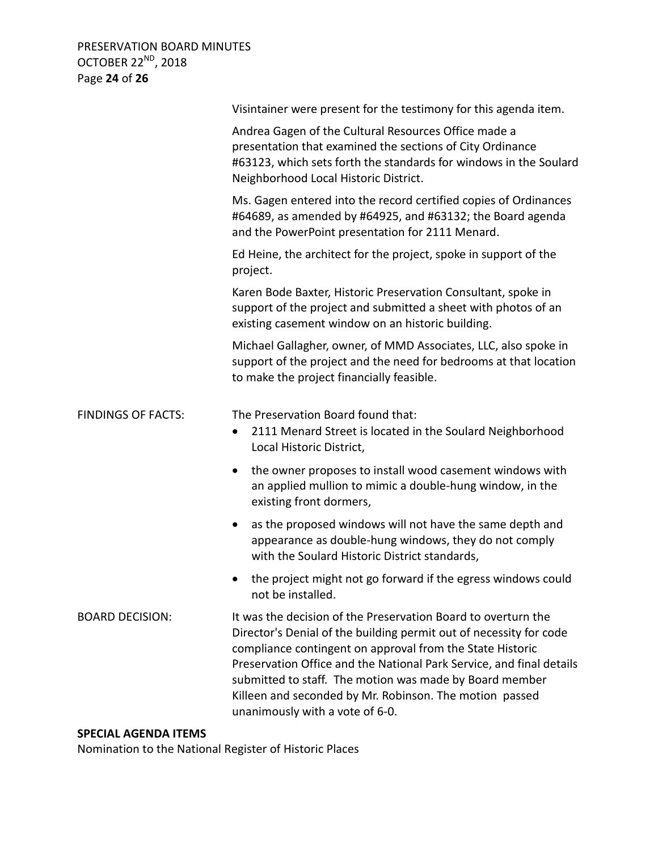PRESERVATION BOARD MINUTES OCTOBER 22<sup>ND</sup>, 2018 Page **24** of **26**

|                           | Visintainer were present for the testimony for this agenda item.                                                                                                                                                                                                                                                                                                                                                                  |
|---------------------------|-----------------------------------------------------------------------------------------------------------------------------------------------------------------------------------------------------------------------------------------------------------------------------------------------------------------------------------------------------------------------------------------------------------------------------------|
|                           | Andrea Gagen of the Cultural Resources Office made a<br>presentation that examined the sections of City Ordinance<br>#63123, which sets forth the standards for windows in the Soulard<br>Neighborhood Local Historic District.                                                                                                                                                                                                   |
|                           | Ms. Gagen entered into the record certified copies of Ordinances<br>#64689, as amended by #64925, and #63132; the Board agenda<br>and the PowerPoint presentation for 2111 Menard.                                                                                                                                                                                                                                                |
|                           | Ed Heine, the architect for the project, spoke in support of the<br>project.                                                                                                                                                                                                                                                                                                                                                      |
|                           | Karen Bode Baxter, Historic Preservation Consultant, spoke in<br>support of the project and submitted a sheet with photos of an<br>existing casement window on an historic building.                                                                                                                                                                                                                                              |
|                           | Michael Gallagher, owner, of MMD Associates, LLC, also spoke in<br>support of the project and the need for bedrooms at that location<br>to make the project financially feasible.                                                                                                                                                                                                                                                 |
| <b>FINDINGS OF FACTS:</b> | The Preservation Board found that:<br>2111 Menard Street is located in the Soulard Neighborhood<br>$\bullet$<br>Local Historic District,                                                                                                                                                                                                                                                                                          |
|                           | the owner proposes to install wood casement windows with<br>$\bullet$<br>an applied mullion to mimic a double-hung window, in the<br>existing front dormers,                                                                                                                                                                                                                                                                      |
|                           | as the proposed windows will not have the same depth and<br>$\bullet$<br>appearance as double-hung windows, they do not comply<br>with the Soulard Historic District standards,                                                                                                                                                                                                                                                   |
|                           | the project might not go forward if the egress windows could<br>not be installed.                                                                                                                                                                                                                                                                                                                                                 |
| <b>BOARD DECISION:</b>    | It was the decision of the Preservation Board to overturn the<br>Director's Denial of the building permit out of necessity for code<br>compliance contingent on approval from the State Historic<br>Preservation Office and the National Park Service, and final details<br>submitted to staff. The motion was made by Board member<br>Killeen and seconded by Mr. Robinson. The motion passed<br>unanimously with a vote of 6-0. |

# **SPECIAL AGENDA ITEMS**

Nomination to the National Register of Historic Places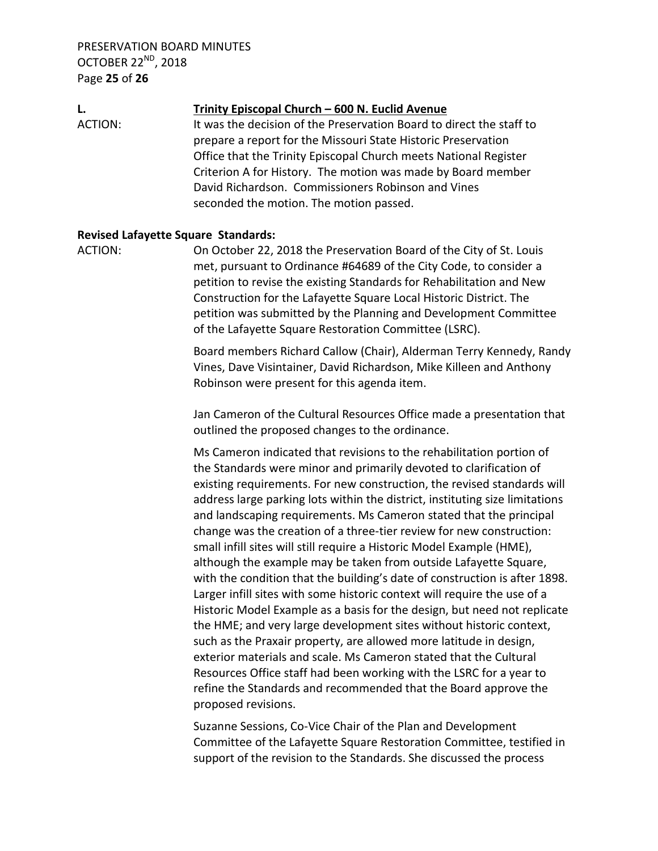PRESERVATION BOARD MINUTES OCTOBER 22<sup>ND</sup>, 2018 Page **25** of **26**

**L. Trinity Episcopal Church – 600 N. Euclid Avenue** ACTION: It was the decision of the Preservation Board to direct the staff to prepare a report for the Missouri State Historic Preservation Office that the Trinity Episcopal Church meets National Register Criterion A for History. The motion was made by Board member David Richardson. Commissioners Robinson and Vines seconded the motion. The motion passed.

#### **Revised Lafayette Square Standards:**

ACTION: On October 22, 2018 the Preservation Board of the City of St. Louis met, pursuant to Ordinance #64689 of the City Code, to consider a petition to revise the existing Standards for Rehabilitation and New Construction for the Lafayette Square Local Historic District. The petition was submitted by the Planning and Development Committee of the Lafayette Square Restoration Committee (LSRC).

> Board members Richard Callow (Chair), Alderman Terry Kennedy, Randy Vines, Dave Visintainer, David Richardson, Mike Killeen and Anthony Robinson were present for this agenda item.

Jan Cameron of the Cultural Resources Office made a presentation that outlined the proposed changes to the ordinance.

Ms Cameron indicated that revisions to the rehabilitation portion of the Standards were minor and primarily devoted to clarification of existing requirements. For new construction, the revised standards will address large parking lots within the district, instituting size limitations and landscaping requirements. Ms Cameron stated that the principal change was the creation of a three-tier review for new construction: small infill sites will still require a Historic Model Example (HME), although the example may be taken from outside Lafayette Square, with the condition that the building's date of construction is after 1898. Larger infill sites with some historic context will require the use of a Historic Model Example as a basis for the design, but need not replicate the HME; and very large development sites without historic context, such as the Praxair property, are allowed more latitude in design, exterior materials and scale. Ms Cameron stated that the Cultural Resources Office staff had been working with the LSRC for a year to refine the Standards and recommended that the Board approve the proposed revisions.

Suzanne Sessions, Co-Vice Chair of the Plan and Development Committee of the Lafayette Square Restoration Committee, testified in support of the revision to the Standards. She discussed the process